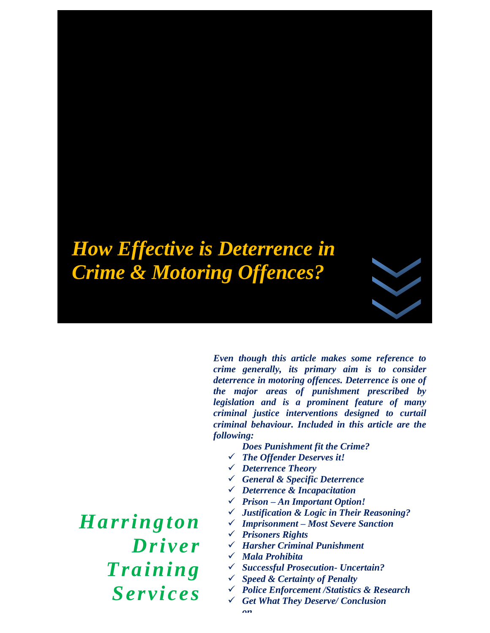# *How Effective is Deterrence in Crime & Motoring Offences?*

*Even though this article makes some reference to crime generally, its primary aim is to consider deterrence in motoring offences. Deterrence is one of the major areas of punishment prescribed by legislation and is a prominent feature of many criminal justice interventions designed to curtail criminal behaviour. Included in this article are the following:*

- *Does Punishment fit the Crime?*
- ✓ *The Offender Deserves it!*
- ✓ *Deterrence Theory*
- ✓ *General & Specific Deterrence*
- ✓ *Deterrence & Incapacitation*
- ✓ *Prison – An Important Option!*
- ✓ *Justification & Logic in Their Reasoning?*
- ✓ *Imprisonment – Most Severe Sanction*
- ✓ *Prisoners Rights*
- ✓ *Harsher Criminal Punishment*
- ✓ *Mala Prohibita*
- ✓ *Successful Prosecution- Uncertain?*
- ✓ *Speed & Certainty of Penalty*
- ✓ *Police Enforcement /Statistics & Research*
- ✓ *Get What They Deserve/ Conclusion*

*Harrington Driver Training Services*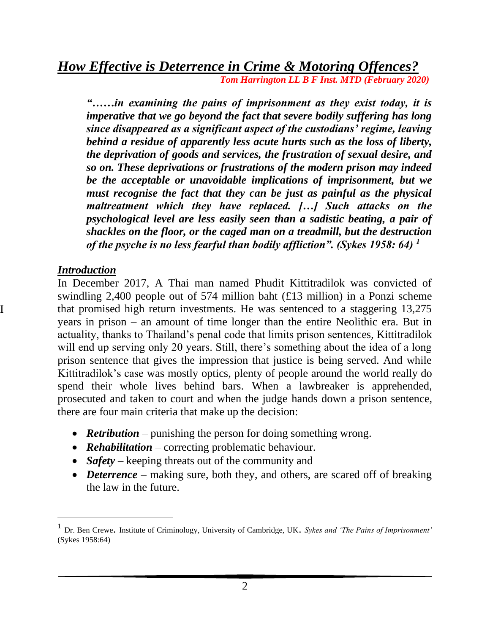*"……in examining the pains of imprisonment as they exist today, it is imperative that we go beyond the fact that severe bodily suffering has long since disappeared as a significant aspect of the custodians' regime, leaving behind a residue of apparently less acute hurts such as the loss of liberty, the deprivation of goods and services, the frustration of sexual desire, and so on. These deprivations or frustrations of the modern prison may indeed be the acceptable or unavoidable implications of imprisonment, but we must recognise the fact that they can be just as painful as the physical maltreatment which they have replaced. […] Such attacks on the psychological level are less easily seen than a sadistic beating, a pair of shackles on the floor, or the caged man on a treadmill, but the destruction of the psyche is no less fearful than bodily affliction". (Sykes 1958: 64) <sup>1</sup>*

#### *Introduction*

I

In December 2017, A Thai man named Phudit Kittitradilok was convicted of swindling 2,400 people out of 574 million baht (£13 million) in a Ponzi scheme that promised high return investments. He was sentenced to a staggering 13,275 years in prison – an amount of time longer than the entire Neolithic era. But in actuality, thanks to Thailand's penal code that limits prison sentences, Kittitradilok will end up serving only 20 years. Still, there's something about the idea of a long prison sentence that gives the impression that justice is being served. And while Kittitradilok's case was mostly optics, plenty of people around the world really do spend their whole lives behind bars. When a lawbreaker is apprehended, prosecuted and taken to court and when the judge hands down a prison sentence, there are four main criteria that make up the decision:

- **Retribution** punishing the person for doing something wrong.
- *Rehabilitation* correcting problematic behaviour.
- *Safety* keeping threats out of the community and
- *Deterrence* making sure, both they, and others, are scared off of breaking the law in the future.

<sup>1</sup> Dr. Ben Crewe. Institute of Criminology, University of Cambridge, UK. *Sykes and 'The Pains of Imprisonment'* (Sykes 1958:64)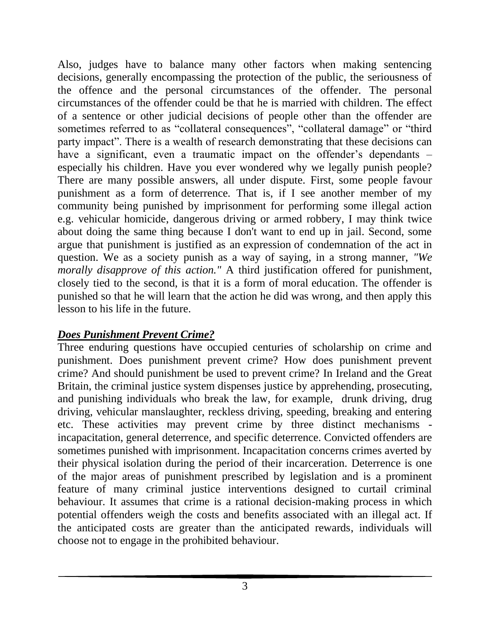Also, judges have to balance many other factors when making sentencing decisions, generally encompassing the protection of the public, the seriousness of the offence and the personal circumstances of the offender. The personal circumstances of the offender could be that he is married with children. The effect of a sentence or other judicial decisions of people other than the offender are sometimes referred to as "collateral consequences", "collateral damage" or "third party impact". There is a wealth of research demonstrating that these decisions can have a significant, even a traumatic impact on the offender's dependants – especially his children. Have you ever wondered why we legally punish people? There are many possible answers, all under dispute. First, some people favour punishment as a form of deterrence*.* That is, if I see another member of my community being punished by imprisonment for performing some illegal action e.g. vehicular homicide, dangerous driving or armed robbery, I may think twice about doing the same thing because I don't want to end up in jail. Second, some argue that punishment is justified as an expression of condemnation of the act in question. We as a society punish as a way of saying, in a strong manner, *"We morally disapprove of this action."* A third justification offered for punishment, closely tied to the second, is that it is a form of moral [education.](https://www.psychologytoday.com/us/basics/education) The offender is punished so that he will learn that the action he did was wrong, and then apply this lesson to his life in the future.

# *Does Punishment Prevent Crime?*

Three enduring questions have occupied centuries of scholarship on crime and punishment. Does punishment prevent crime? How does punishment prevent crime? And should punishment be used to prevent crime? In Ireland and the Great Britain, the criminal justice system dispenses justice by apprehending, prosecuting, and punishing individuals who break the law, for example, drunk driving, drug driving, vehicular manslaughter, reckless driving, speeding, breaking and entering etc. These activities may prevent crime by three distinct mechanisms incapacitation, general deterrence, and specific deterrence. Convicted offenders are sometimes punished with imprisonment. Incapacitation concerns crimes averted by their physical isolation during the period of their incarceration. Deterrence is one of the major areas of punishment prescribed by legislation and is a prominent feature of many criminal justice interventions designed to curtail criminal behaviour. It assumes that crime is a rational decision-making process in which potential offenders weigh the costs and benefits associated with an illegal act. If the anticipated costs are greater than the anticipated rewards, individuals will choose not to engage in the prohibited behaviour.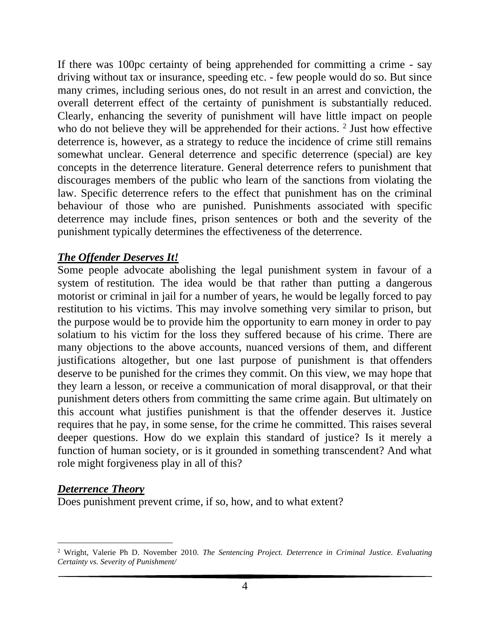If there was 100pc certainty of being apprehended for committing a crime - say driving without tax or insurance, speeding etc. - few people would do so. But since many crimes, including serious ones, do not result in an arrest and conviction, the overall deterrent effect of the certainty of punishment is substantially reduced. Clearly, enhancing the severity of punishment will have little impact on people who do not believe they will be apprehended for their actions.  $2$  Just how effective deterrence is, however, as a strategy to reduce the incidence of crime still remains somewhat unclear. General deterrence and specific deterrence (special) are key concepts in the deterrence literature. General deterrence refers to punishment that discourages members of the public who learn of the sanctions from violating the law. Specific deterrence refers to the effect that punishment has on the criminal behaviour of those who are punished. Punishments associated with specific deterrence may include fines, prison sentences or both and the severity of the punishment typically determines the effectiveness of the deterrence.

#### *The Offender Deserves It!*

Some people advocate abolishing the legal punishment system in favour of a system of restitution*.* The idea would be that rather than putting a dangerous motorist or criminal in jail for a number of years, he would be legally forced to pay restitution to his victims. This may involve something very similar to prison, but the purpose would be to provide him the opportunity to earn money in order to pay solatium to his victim for the loss they suffered because of his [crime.](https://www.psychologytoday.com/us/basics/law-and-crime) There are many objections to the above accounts, nuanced versions of them, and different justifications altogether, but one last purpose of punishment is that offenders deserve to be punished for the crimes they commit. On this view, we may hope that they learn a lesson, or receive a communication of moral disapproval, or that their punishment deters others from committing the same crime again. But ultimately on this account what justifies punishment is that the offender deserves it. Justice requires that he pay, in some sense, for the crime he committed. This raises several deeper questions. How do we explain this standard of justice? Is it merely a function of human society, or is it grounded in something transcendent? And what role might [forgiveness](https://www.psychologytoday.com/us/basics/forgiveness) play in all of this?

## *Deterrence Theory*

Does punishment prevent crime, if so, how, and to what extent?

<sup>2</sup> Wright, Valerie Ph D. November 2010. *The Sentencing Project. Deterrence in Criminal Justice. Evaluating Certainty vs. Severity of Punishment/*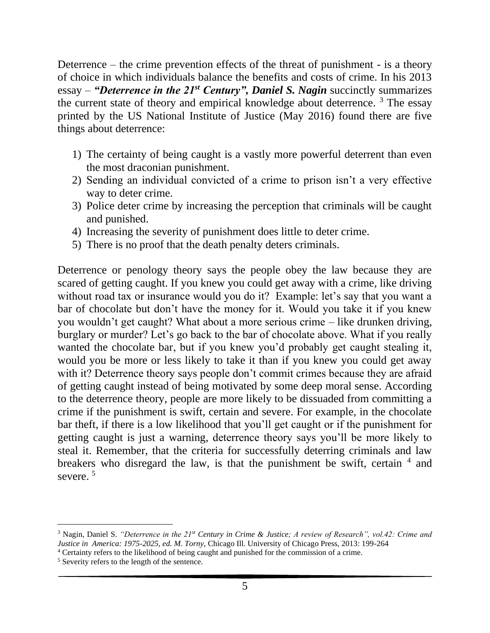Deterrence – the crime prevention effects of the threat of punishment - is a theory of choice in which individuals balance the benefits and costs of crime. In his 2013 essay – *"Deterrence in the 21st Century", Daniel S. Nagin* succinctly summarizes the current state of theory and empirical knowledge about deterrence.  $3$  The essay printed by the US National Institute of Justice (May 2016) found there are five things about deterrence:

- 1) The certainty of being caught is a vastly more powerful deterrent than even the most draconian punishment.
- 2) Sending an individual convicted of a crime to prison isn't a very effective way to deter crime.
- 3) Police deter crime by increasing the perception that criminals will be caught and punished.
- 4) Increasing the severity of punishment does little to deter crime.
- 5) There is no proof that the death penalty deters criminals.

Deterrence or penology theory says the people obey the law because they are scared of getting caught. If you knew you could get away with a crime, like driving without road tax or insurance would you do it? Example: let's say that you want a bar of chocolate but don't have the money for it. Would you take it if you knew you wouldn't get caught? What about a more serious crime – like drunken driving, burglary or murder? Let's go back to the bar of chocolate above. What if you really wanted the chocolate bar, but if you knew you'd probably get caught stealing it, would you be more or less likely to take it than if you knew you could get away with it? Deterrence theory says people don't commit crimes because they are afraid of getting caught instead of being motivated by some deep moral sense. According to the deterrence theory, people are more likely to be dissuaded from committing a crime if the punishment is swift, certain and severe. For example, in the chocolate bar theft, if there is a low likelihood that you'll get caught or if the punishment for getting caught is just a warning, deterrence theory says you'll be more likely to steal it. Remember, that the criteria for successfully deterring criminals and law breakers who disregard the law, is that the punishment be swift, certain  $4$  and severe.<sup>5</sup>

<sup>3</sup> Nagin, Daniel S. *"Deterrence in the 21st Century in Crime & Justice; A review of Research", vol.42: Crime and Justice in America: 1975-2025, ed. M. Torny,* Chicago Ill. University of Chicago Press, 2013: 199-264

<sup>4</sup> Certainty refers to the likelihood of being caught and punished for the commission of a crime.

<sup>5</sup> Severity refers to the length of the sentence.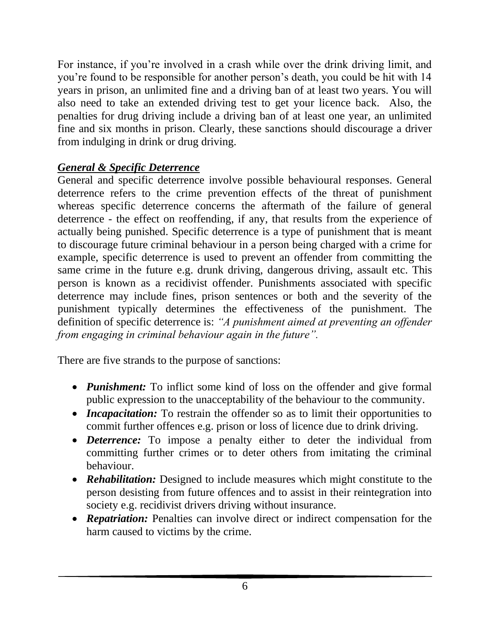For instance, if you're involved in a crash while over the drink driving limit, and you're found to be responsible for another person's death, you could be hit with 14 years in prison, an unlimited fine and a driving ban of at least two years. You will also need to take an extended driving test to get your licence back. Also, the penalties for drug driving include a driving ban of at least one year, an unlimited fine and six months in prison. Clearly, these sanctions should discourage a driver from indulging in drink or drug driving.

# *General & Specific Deterrence*

General and specific deterrence involve possible behavioural responses. General deterrence refers to the crime prevention effects of the threat of punishment whereas specific deterrence concerns the aftermath of the failure of general deterrence - the effect on reoffending, if any, that results from the experience of actually being punished. Specific deterrence is a type of punishment that is meant to discourage future criminal behaviour in a person being charged with a crime for example, specific deterrence is used to prevent an offender from committing the same crime in the future e.g. drunk driving, dangerous driving, assault etc. This person is known as a recidivist offender. Punishments associated with specific deterrence may include fines, prison sentences or both and the severity of the punishment typically determines the effectiveness of the punishment. The definition of specific deterrence is: *"A punishment aimed at preventing an offender from engaging in criminal behaviour again in the future".* 

There are five strands to the purpose of sanctions:

- *Punishment:* To inflict some kind of loss on the offender and give formal public expression to the unacceptability of the behaviour to the community.
- *Incapacitation:* To restrain the offender so as to limit their opportunities to commit further offences e.g. prison or loss of licence due to drink driving.
- *Deterrence:* To impose a penalty either to deter the individual from committing further crimes or to deter others from imitating the criminal behaviour.
- *Rehabilitation:* Designed to include measures which might constitute to the person desisting from future offences and to assist in their reintegration into society e.g. recidivist drivers driving without insurance.
- *Repatriation:* Penalties can involve direct or indirect compensation for the harm caused to victims by the crime.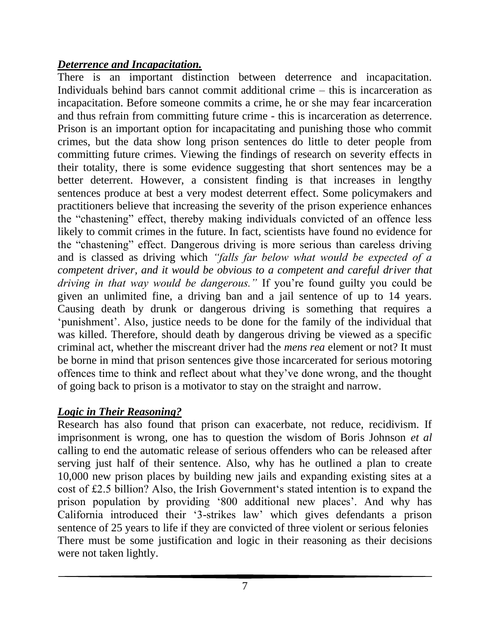## *Deterrence and Incapacitation.*

There is an important distinction between deterrence and incapacitation. Individuals behind bars cannot commit additional crime – this is incarceration as incapacitation. Before someone commits a crime, he or she may fear incarceration and thus refrain from committing future crime - this is incarceration as deterrence. Prison is an important option for incapacitating and punishing those who commit crimes, but the data show long prison sentences do little to deter people from committing future crimes. Viewing the findings of research on severity effects in their totality, there is some evidence suggesting that short sentences may be a better deterrent. However, a consistent finding is that increases in lengthy sentences produce at best a very modest deterrent effect. Some policymakers and practitioners believe that increasing the severity of the prison experience enhances the "chastening" effect, thereby making individuals convicted of an offence less likely to commit crimes in the future. In fact, scientists have found no evidence for the "chastening" effect. Dangerous driving is more serious than careless driving and is classed as driving which *"falls far below what would be expected of a competent driver, and it would be obvious to a competent and careful driver that driving in that way would be dangerous."* If you're found guilty you could be given an unlimited fine, a driving ban and a jail sentence of up to 14 years. Causing death by drunk or dangerous driving is something that requires a 'punishment'. Also, justice needs to be done for the family of the individual that was killed. Therefore, should death by dangerous driving be viewed as a specific criminal act, whether the miscreant driver had the *mens rea* element or not? It must be borne in mind that prison sentences give those incarcerated for serious motoring offences time to think and reflect about what they've done wrong, and the thought of going back to prison is a motivator to stay on the straight and narrow.

# *Logic in Their Reasoning?*

Research has also found that prison can exacerbate, not reduce, recidivism. If imprisonment is wrong, one has to question the wisdom of Boris Johnson *et al* calling to end the automatic release of serious offenders who can be released after serving just half of their sentence. Also, why has he outlined a plan to create 10,000 new prison places by building new jails and expanding existing sites at a cost of £2.5 billion? Also, the Irish Government's stated intention is to expand the prison population by providing '800 additional new places'. And why has California introduced their '3-strikes law' which gives defendants a prison sentence of 25 years to life if they are convicted of three violent or serious felonies There must be some justification and logic in their reasoning as their decisions were not taken lightly.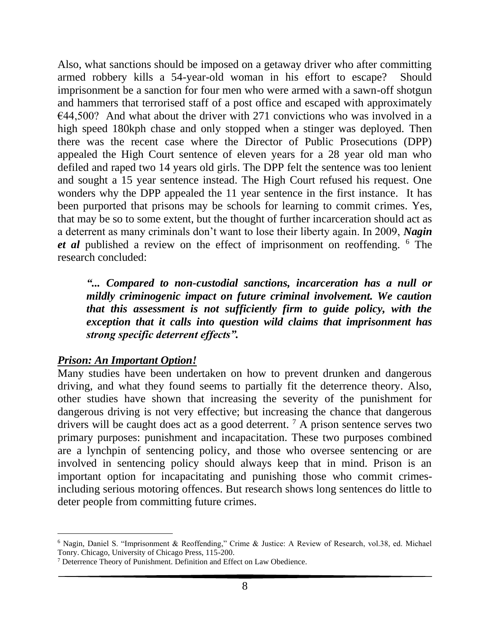Also, what sanctions should be imposed on a getaway driver who after committing armed robbery kills a 54-year-old woman in his effort to escape? Should imprisonment be a sanction for four men who were armed with a sawn-off shotgun and hammers that terrorised staff of a post office and escaped with approximately  $€44,500?$  And what about the driver with 271 convictions who was involved in a high speed 180kph chase and only stopped when a stinger was deployed. Then there was the recent case where the Director of Public Prosecutions (DPP) appealed the High Court sentence of eleven years for a 28 year old man who defiled and raped two 14 years old girls. The DPP felt the sentence was too lenient and sought a 15 year sentence instead. The High Court refused his request. One wonders why the DPP appealed the 11 year sentence in the first instance. It has been purported that prisons may be schools for learning to commit crimes. Yes, that may be so to some extent, but the thought of further incarceration should act as a deterrent as many criminals don't want to lose their liberty again. In 2009, *Nagin et al* published a review on the effect of imprisonment on reoffending. <sup>6</sup> The research concluded:

*"... Compared to non-custodial sanctions, incarceration has a null or mildly criminogenic impact on future criminal involvement. We caution that this assessment is not sufficiently firm to guide policy, with the exception that it calls into question wild claims that imprisonment has strong specific deterrent effects".*

## *Prison: An Important Option!*

Many studies have been undertaken on how to prevent drunken and dangerous driving, and what they found seems to partially fit the deterrence theory. Also, other studies have shown that increasing the severity of the punishment for dangerous driving is not very effective; but increasing the chance that dangerous drivers will be caught does act as a good deterrent.  $^7$  A prison sentence serves two primary purposes: punishment and incapacitation. These two purposes combined are a lynchpin of sentencing policy, and those who oversee sentencing or are involved in sentencing policy should always keep that in mind. Prison is an important option for incapacitating and punishing those who commit crimesincluding serious motoring offences. But research shows long sentences do little to deter people from committing future crimes.

<sup>6</sup> Nagin, Daniel S. "Imprisonment & Reoffending," Crime & Justice: A Review of Research, vol.38, ed. Michael Tonry. Chicago, University of Chicago Press, 115-200.

<sup>7</sup> Deterrence Theory of Punishment. Definition and Effect on Law Obedience.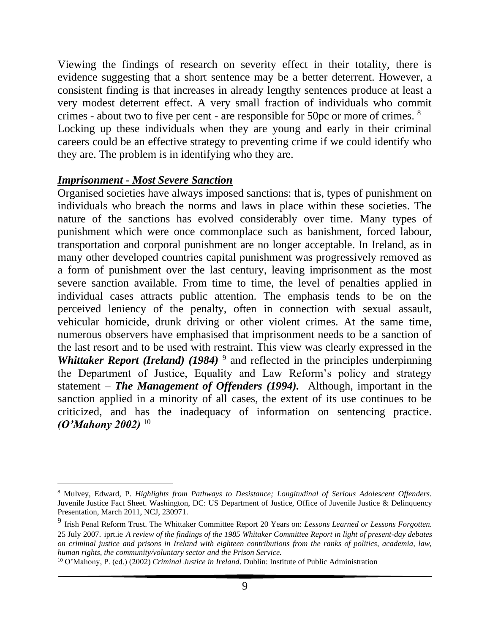Viewing the findings of research on severity effect in their totality, there is evidence suggesting that a short sentence may be a better deterrent. However, a consistent finding is that increases in already lengthy sentences produce at least a very modest deterrent effect. A very small fraction of individuals who commit crimes - about two to five per cent - are responsible for 50pc or more of crimes. <sup>8</sup> Locking up these individuals when they are young and early in their criminal careers could be an effective strategy to preventing crime if we could identify who they are. The problem is in identifying who they are.

#### *Imprisonment - Most Severe Sanction*

Organised societies have always imposed sanctions: that is, types of punishment on individuals who breach the norms and laws in place within these societies. The nature of the sanctions has evolved considerably over time. Many types of punishment which were once commonplace such as banishment, forced labour, transportation and corporal punishment are no longer acceptable. In Ireland, as in many other developed countries capital punishment was progressively removed as a form of punishment over the last century, leaving imprisonment as the most severe sanction available. From time to time, the level of penalties applied in individual cases attracts public attention. The emphasis tends to be on the perceived leniency of the penalty, often in connection with sexual assault, vehicular homicide, drunk driving or other violent crimes. At the same time, numerous observers have emphasised that imprisonment needs to be a sanction of the last resort and to be used with restraint. This view was clearly expressed in the *Whittaker Report (Ireland) (1984)* <sup>9</sup> and reflected in the principles underpinning the Department of Justice, Equality and Law Reform's policy and strategy statement – *The Management of Offenders (1994).* Although, important in the sanction applied in a minority of all cases, the extent of its use continues to be criticized, and has the inadequacy of information on sentencing practice. *(O'Mahony 2002)* <sup>10</sup>

<sup>8</sup> Mulvey, Edward, P. *Highlights from Pathways to Desistance; Longitudinal of Serious Adolescent Offenders.* Juvenile Justice Fact Sheet. Washington, DC: US Department of Justice, Office of Juvenile Justice & Delinquency Presentation, March 2011, NCJ, 230971.

<sup>9</sup> Irish Penal Reform Trust. The Whittaker Committee Report 20 Years on: *Lessons Learned or Lessons Forgotten.* 25 July 2007. iprt.ie *A review of the findings of the 1985 Whitaker Committee Report in light of present-day debates on criminal justice and prisons in Ireland with eighteen contributions from the ranks of politics, academia, law, human rights, the community/voluntary sector and the Prison Service.*

<sup>10</sup> O'Mahony, P. (ed.) (2002) *Criminal Justice in Ireland*. Dublin: Institute of Public Administration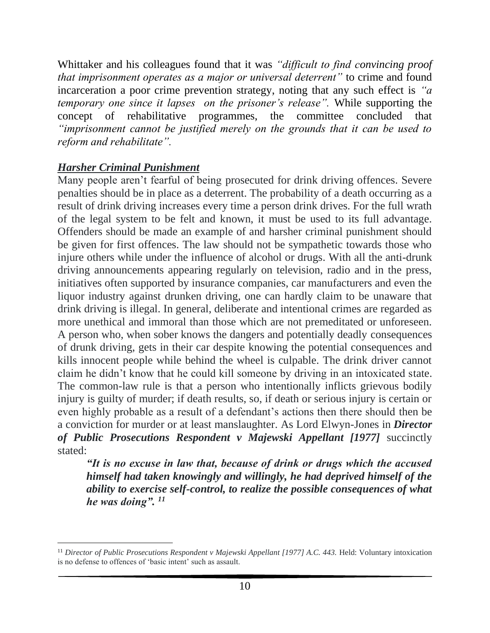Whittaker and his colleagues found that it was *"difficult to find convincing proof that imprisonment operates as a major or universal deterrent"* to crime and found incarceration a poor crime prevention strategy, noting that any such effect is *"a temporary one since it lapses on the prisoner's release".* While supporting the concept of rehabilitative programmes, the committee concluded that *"imprisonment cannot be justified merely on the grounds that it can be used to reform and rehabilitate".* 

## *Harsher Criminal Punishment*

Many people aren't fearful of being prosecuted for drink driving offences. Severe penalties should be in place as a deterrent. The probability of a death occurring as a result of drink driving increases every time a person drink drives. For the full wrath of the legal system to be felt and known, it must be used to its full advantage. Offenders should be made an example of and harsher criminal punishment should be given for first offences. The law should not be sympathetic towards those who injure others while under the influence of alcohol or drugs. With all the anti-drunk driving announcements appearing regularly on television, radio and in the press, initiatives often supported by insurance companies, car manufacturers and even the liquor industry against drunken driving, one can hardly claim to be unaware that drink driving is illegal. In general, deliberate and intentional crimes are regarded as more unethical and immoral than those which are not premeditated or unforeseen. A person who, when sober knows the dangers and potentially deadly consequences of drunk driving, gets in their car despite knowing the potential consequences and kills innocent people while behind the wheel is culpable. The drink driver cannot claim he didn't know that he could kill someone by driving in an intoxicated state. The common-law rule is that a person who intentionally inflicts grievous bodily injury is guilty of murder; if death results, so, if death or serious injury is certain or even highly probable as a result of a defendant's actions then there should then be a conviction for murder or at least manslaughter. As Lord Elwyn-Jones in *Director of Public Prosecutions Respondent v Majewski Appellant [1977]* succinctly stated:

*"It is no excuse in law that, because of drink or drugs which the accused himself had taken knowingly and willingly, he had deprived himself of the ability to exercise self-control, to realize the possible consequences of what he was doing". <sup>11</sup>*

<sup>&</sup>lt;sup>11</sup> *Director of Public Prosecutions Respondent v Majewski Appellant [1977] A.C. 443. Held: Voluntary intoxication* is no defense to offences of 'basic intent' such as assault.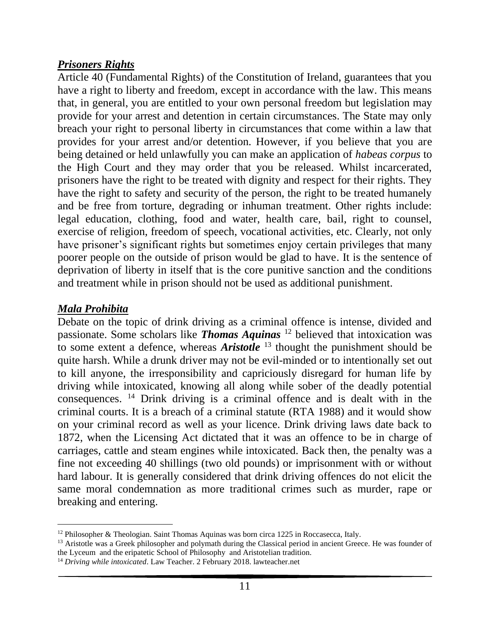## *Prisoners Rights*

Article 40 (Fundamental Rights) of the Constitution of Ireland, guarantees that you have a right to liberty and freedom, except in accordance with the law. This means that, in general, you are entitled to your own personal freedom but legislation may provide for your arrest and detention in certain circumstances. The State may only breach your right to personal liberty in circumstances that come within a law that provides for your arrest and/or detention. However, if you believe that you are being detained or held unlawfully you can make an application of *habeas corpus* to the High Court and they may order that you be released. Whilst incarcerated, prisoners have the right to be treated with dignity and respect for their rights. They have the right to safety and security of the person, the right to be treated humanely and be free from torture, degrading or inhuman treatment. Other rights include: legal education, clothing, food and water, health care, bail, right to counsel, exercise of religion, freedom of speech, vocational activities, etc. Clearly, not only have prisoner's significant rights but sometimes enjoy certain privileges that many poorer people on the outside of prison would be glad to have. It is the sentence of deprivation of liberty in itself that is the core punitive sanction and the conditions and treatment while in prison should not be used as additional punishment.

#### *Mala Prohibita*

Debate on the topic of drink driving as a criminal offence is intense, divided and passionate. Some scholars like *Thomas Aquinas* <sup>12</sup> believed that intoxication was to some extent a defence, whereas *Aristotle* <sup>13</sup> thought the punishment should be quite harsh. While a drunk driver may not be evil-minded or to intentionally set out to kill anyone, the irresponsibility and capriciously disregard for human life by driving while intoxicated, knowing all along while sober of the deadly potential consequences. <sup>14</sup> Drink driving is a criminal offence and is dealt with in the criminal courts. It is a breach of a criminal statute (RTA 1988) and it would show on your criminal record as well as your licence. Drink driving laws date back to 1872, when the Licensing Act dictated that it was an offence to be in charge of carriages, cattle and steam engines while intoxicated. Back then, the penalty was a fine not exceeding 40 shillings (two old pounds) or imprisonment with or without hard labour. It is generally considered that drink driving offences do not elicit the same moral condemnation as more traditional crimes such as murder, rape or breaking and entering.

 $12$  Philosopher & Theologian. Saint Thomas Aquinas was born circa 1225 in Roccasecca, Italy.

<sup>&</sup>lt;sup>13</sup> Aristotle was a Greek philosopher and polymath during the Classical period in ancient Greece. He was founder of the Lyceum and the eripatetic School of Philosophy and Aristotelian tradition.

<sup>14</sup> *Driving while intoxicated*. Law Teacher. 2 February 2018. lawteacher.net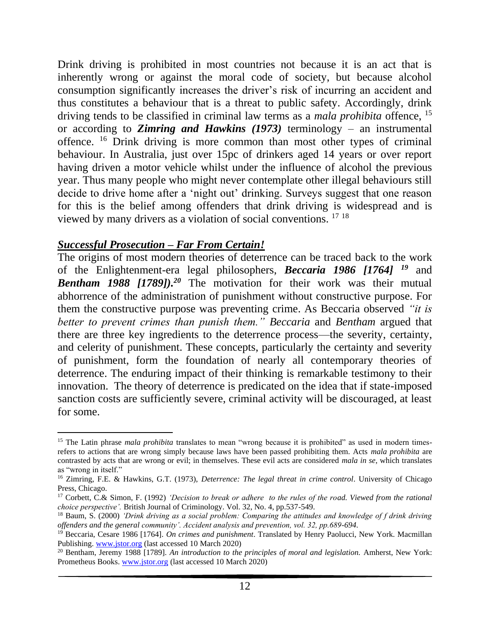Drink driving is prohibited in most countries not because it is an act that is inherently wrong or against the moral code of society, but because alcohol consumption significantly increases the driver's risk of incurring an accident and thus constitutes a behaviour that is a threat to public safety. Accordingly, drink driving tends to be classified in criminal law terms as a *mala prohibita* offence, <sup>15</sup> or according to *Zimring and Hawkins (1973)* terminology – an instrumental offence. <sup>16</sup> Drink driving is more common than most other types of criminal behaviour. In Australia, just over 15pc of drinkers aged 14 years or over report having driven a motor vehicle whilst under the influence of alcohol the previous year. Thus many people who might never contemplate other illegal behaviours still decide to drive home after a 'night out' drinking. Surveys suggest that one reason for this is the belief among offenders that drink driving is widespread and is viewed by many drivers as a violation of social conventions. <sup>17</sup> <sup>18</sup>

#### *Successful Prosecution – Far From Certain!*

The origins of most modern theories of deterrence can be traced back to the work of the Enlightenment-era legal philosophers, *Beccaria 1986 [1764] <sup>19</sup>* and *Bentham 1988 [1789]).<sup>20</sup>* The motivation for their work was their mutual abhorrence of the administration of punishment without constructive purpose. For them the constructive purpose was preventing crime. As Beccaria observed *"it is better to prevent crimes than punish them." Beccaria* and *Bentham* argued that there are three key ingredients to the deterrence process—the severity, certainty, and celerity of punishment. These concepts, particularly the certainty and severity of punishment, form the foundation of nearly all contemporary theories of deterrence. The enduring impact of their thinking is remarkable testimony to their innovation. The theory of deterrence is predicated on the idea that if state-imposed sanction costs are sufficiently severe, criminal activity will be discouraged, at least for some.

<sup>&</sup>lt;sup>15</sup> The Latin phrase *mala prohibita* translates to mean "wrong because it is prohibited" as used in modern timesrefers to actions that are wrong simply because laws have been passed prohibiting them. Acts *mala prohibita* are contrasted by acts that are wrong or evil; in themselves. These evil acts are considered *mala in se*, which translates as "wrong in itself."

<sup>16</sup> Zimring, F.E. & Hawkins, G.T. (1973), *Deterrence: The legal threat in crime control*. University of Chicago Press, Chicago.

<sup>17</sup> Corbett, C.& Simon, F. (1992) *'Decision to break or adhere to the rules of the road. Viewed from the rational choice perspective'.* British Journal of Criminology. Vol. 32, No. 4, pp.537-549.

<sup>18</sup> Baum, S. (2000) *'Drink driving as a social problem: Comparing the attitudes and knowledge of f drink driving offenders and the general community'. Accident analysis and prevention, vol. 32, pp.689-694.*

<sup>19</sup> Beccaria, Cesare 1986 [1764]. *On crimes and punishment*. Translated by Henry Paolucci, New York. Macmillan Publishing. [www.jstor.org](http://www.jstor.org/) (last accessed 10 March 2020)

<sup>20</sup> Bentham, Jeremy 1988 [1789]. *An introduction to the principles of moral and legislation.* Amherst, New York: Prometheus Books. [www.jstor.org](http://www.jstor.org/) (last accessed 10 March 2020)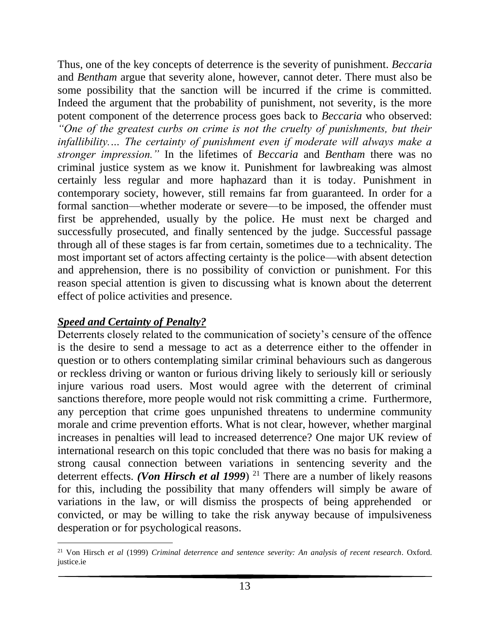Thus, one of the key concepts of deterrence is the severity of punishment. *Beccaria* and *Bentham* argue that severity alone, however, cannot deter. There must also be some possibility that the sanction will be incurred if the crime is committed. Indeed the argument that the probability of punishment, not severity, is the more potent component of the deterrence process goes back to *Beccaria* who observed: *"One of the greatest curbs on crime is not the cruelty of punishments, but their infallibility.… The certainty of punishment even if moderate will always make a stronger impression."* In the lifetimes of *Beccaria* and *Bentham* there was no criminal justice system as we know it. Punishment for lawbreaking was almost certainly less regular and more haphazard than it is today. Punishment in contemporary society, however, still remains far from guaranteed. In order for a formal sanction—whether moderate or severe—to be imposed, the offender must first be apprehended, usually by the police. He must next be charged and successfully prosecuted, and finally sentenced by the judge. Successful passage through all of these stages is far from certain, sometimes due to a technicality. The most important set of actors affecting certainty is the police—with absent detection and apprehension, there is no possibility of conviction or punishment. For this reason special attention is given to discussing what is known about the deterrent effect of police activities and presence.

## *Speed and Certainty of Penalty?*

Deterrents closely related to the communication of society's censure of the offence is the desire to send a message to act as a deterrence either to the offender in question or to others contemplating similar criminal behaviours such as dangerous or reckless driving or wanton or furious driving likely to seriously kill or seriously injure various road users. Most would agree with the deterrent of criminal sanctions therefore, more people would not risk committing a crime. Furthermore, any perception that crime goes unpunished threatens to undermine community morale and crime prevention efforts. What is not clear, however, whether marginal increases in penalties will lead to increased deterrence? One major UK review of international research on this topic concluded that there was no basis for making a strong causal connection between variations in sentencing severity and the deterrent effects. *(Von Hirsch et al 1999*)<sup>21</sup> There are a number of likely reasons for this, including the possibility that many offenders will simply be aware of variations in the law, or will dismiss the prospects of being apprehended or convicted, or may be willing to take the risk anyway because of impulsiveness desperation or for psychological reasons.

<sup>21</sup> Von Hirsch *et al* (1999) *Criminal deterrence and sentence severity: An analysis of recent research*. Oxford. justice.ie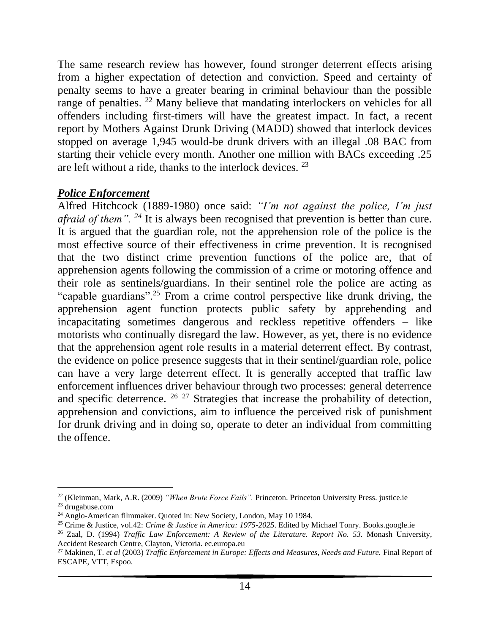The same research review has however, found stronger deterrent effects arising from a higher expectation of detection and conviction. Speed and certainty of penalty seems to have a greater bearing in criminal behaviour than the possible range of penalties. <sup>22</sup> Many believe that mandating interlockers on vehicles for all offenders including first-timers will have the greatest impact. In fact, a recent report by Mothers Against Drunk Driving (MADD) showed that interlock devices stopped on average 1,945 would-be drunk drivers with an illegal .08 BAC from starting their vehicle every month. Another one million with BACs exceeding .25 are left without a ride, thanks to the interlock devices. <sup>23</sup>

## *Police Enforcement*

Alfred Hitchcock (1889-1980) once said: *"I'm not against the police, I'm just afraid of them".* <sup>24</sup> It is always been recognised that prevention is better than cure. It is argued that the guardian role, not the apprehension role of the police is the most effective source of their effectiveness in crime prevention. It is recognised that the two distinct crime prevention functions of the police are, that of apprehension agents following the commission of a crime or motoring offence and their role as sentinels/guardians. In their sentinel role the police are acting as "capable guardians".<sup>25</sup> From a crime control perspective like drunk driving, the apprehension agent function protects public safety by apprehending and incapacitating sometimes dangerous and reckless repetitive offenders – like motorists who continually disregard the law. However, as yet, there is no evidence that the apprehension agent role results in a material deterrent effect. By contrast, the evidence on police presence suggests that in their sentinel/guardian role, police can have a very large deterrent effect. It is generally accepted that traffic law enforcement influences driver behaviour through two processes: general deterrence and specific deterrence.  $26 \times 27$  Strategies that increase the probability of detection, apprehension and convictions, aim to influence the perceived risk of punishment for drunk driving and in doing so, operate to deter an individual from committing the offence.

<sup>22</sup> (Kleinman, Mark, A.R. (2009) *"When Brute Force Fails".* Princeton. Princeton University Press. justice.ie <sup>23</sup> drugabuse.com

<sup>&</sup>lt;sup>24</sup> Anglo-American filmmaker. Quoted in: New Society, London, May 10 1984.

<sup>25</sup> Crime & Justice, vol.42: *Crime & Justice in America: 1975-2025*. Edited by Michael Tonry. Books.google.ie

<sup>26</sup> Zaal, D. (1994) *Traffic Law Enforcement: A Review of the Literature. Report No. 53.* Monash University, Accident Research Centre, Clayton, Victoria. ec.europa.eu

<sup>27</sup> Makinen, T*. et al* (2003) *Traffic Enforcement in Europe: Effects and Measures, Needs and Future.* Final Report of ESCAPE, VTT, Espoo.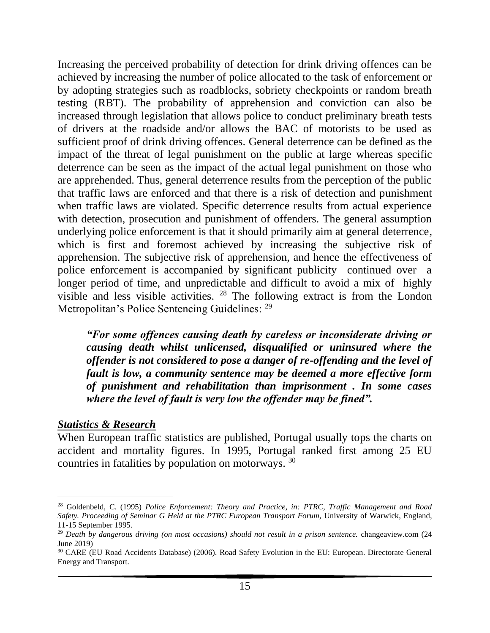Increasing the perceived probability of detection for drink driving offences can be achieved by increasing the number of police allocated to the task of enforcement or by adopting strategies such as roadblocks, sobriety checkpoints or random breath testing (RBT). The probability of apprehension and conviction can also be increased through legislation that allows police to conduct preliminary breath tests of drivers at the roadside and/or allows the BAC of motorists to be used as sufficient proof of drink driving offences. General deterrence can be defined as the impact of the threat of legal punishment on the public at large whereas specific deterrence can be seen as the impact of the actual legal punishment on those who are apprehended. Thus, general deterrence results from the perception of the public that traffic laws are enforced and that there is a risk of detection and punishment when traffic laws are violated. Specific deterrence results from actual experience with detection, prosecution and punishment of offenders. The general assumption underlying police enforcement is that it should primarily aim at general deterrence, which is first and foremost achieved by increasing the subjective risk of apprehension. The subjective risk of apprehension, and hence the effectiveness of police enforcement is accompanied by significant publicity continued over a longer period of time, and unpredictable and difficult to avoid a mix of highly visible and less visible activities. <sup>28</sup> The following extract is from the London Metropolitan's Police Sentencing Guidelines: <sup>29</sup>

*"For some offences causing death by careless or inconsiderate driving or causing death whilst unlicensed, disqualified or uninsured where the offender is not considered to pose a danger of re-offending and the level of fault is low, a community sentence may be deemed a more effective form of punishment and rehabilitation than imprisonment . In some cases where the level of fault is very low the offender may be fined".*

#### *Statistics & Research*

When European traffic statistics are published, Portugal usually tops the charts on accident and mortality figures. In 1995, Portugal ranked first among 25 EU countries in fatalities by population on motorways. <sup>30</sup>

<sup>28</sup> Goldenbeld, C. (1995) *Police Enforcement: Theory and Practice, in: PTRC, Traffic Management and Road Safety. Proceeding of Seminar G Held at the PTRC European Transport Forum,* University of Warwick, England, 11-15 September 1995.

<sup>29</sup> *Death by dangerous driving (on most occasions) should not result in a prison sentence.* changeaview.com (24 June 2019)

<sup>&</sup>lt;sup>30</sup> CARE (EU Road Accidents Database) (2006). Road Safety Evolution in the EU: European. Directorate General Energy and Transport.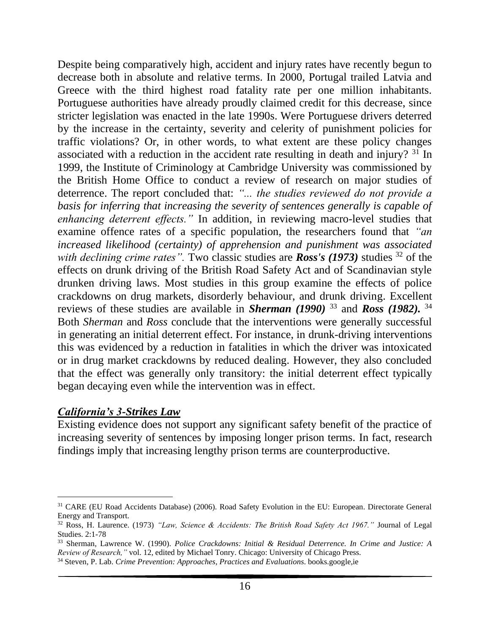Despite being comparatively high, accident and injury rates have recently begun to decrease both in absolute and relative terms. In 2000, Portugal trailed Latvia and Greece with the third highest road fatality rate per one million inhabitants. Portuguese authorities have already proudly claimed credit for this decrease, since stricter legislation was enacted in the late 1990s. Were Portuguese drivers deterred by the increase in the certainty, severity and celerity of punishment policies for traffic violations? Or, in other words, to what extent are these policy changes associated with a reduction in the accident rate resulting in death and injury? <sup>31</sup> In 1999, the Institute of Criminology at Cambridge University was commissioned by the British Home Office to conduct a review of research on major studies of deterrence. The report concluded that: *"... the studies reviewed do not provide a basis for inferring that increasing the severity of sentences generally is capable of enhancing deterrent effects."* In addition, in reviewing macro-level studies that examine offence rates of a specific population, the researchers found that *"an increased likelihood (certainty) of apprehension and punishment was associated with declining crime rates*". Two classic studies are *Ross's* (1973) studies <sup>32</sup> of the effects on drunk driving of the British Road Safety Act and of Scandinavian style drunken driving laws. Most studies in this group examine the effects of police crackdowns on drug markets, disorderly behaviour, and drunk driving. Excellent reviews of these studies are available in *Sherman (1990)* <sup>33</sup> and *Ross (1982).* <sup>34</sup> Both *Sherman* and *Ross* conclude that the interventions were generally successful in generating an initial deterrent effect. For instance, in drunk-driving interventions this was evidenced by a reduction in fatalities in which the driver was intoxicated or in drug market crackdowns by reduced dealing. However, they also concluded that the effect was generally only transitory: the initial deterrent effect typically began decaying even while the intervention was in effect.

#### *California's 3-Strikes Law*

Existing evidence does not support any significant safety benefit of the practice of increasing severity of sentences by imposing longer prison terms. In fact, research findings imply that increasing lengthy prison terms are counterproductive.

<sup>31</sup> CARE (EU Road Accidents Database) (2006). Road Safety Evolution in the EU: European. Directorate General Energy and Transport.

<sup>32</sup> Ross, H. Laurence. (1973) *"Law, Science & Accidents: The British Road Safety Act 1967."* Journal of Legal Studies. 2:1-78

<sup>33</sup> Sherman, Lawrence W. (1990). *Police Crackdowns: Initial & Residual Deterrence. In Crime and Justice: A Review of Research,"* vol. 12, edited by Michael Tonry. Chicago: University of Chicago Press.

<sup>34</sup> Steven, P. Lab. *Crime Prevention: Approaches, Practices and Evaluations*. books.google,ie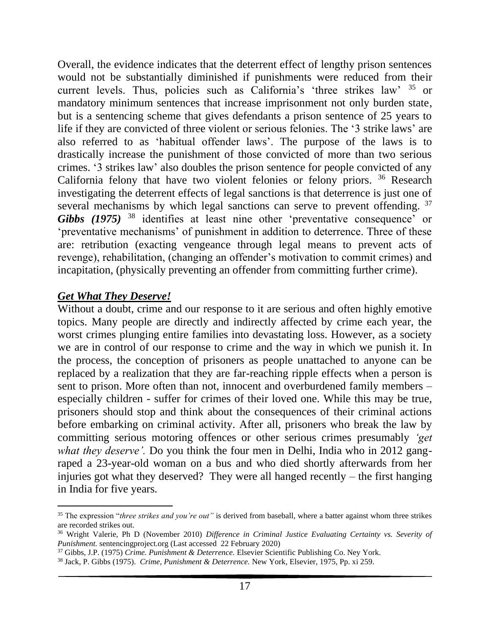Overall, the evidence indicates that the deterrent effect of lengthy prison sentences would not be substantially diminished if punishments were reduced from their current levels. Thus, policies such as California's 'three strikes law' <sup>35</sup> or mandatory minimum sentences that increase imprisonment not only burden state, but is a sentencing scheme that gives defendants a prison sentence of 25 years to life if they are convicted of three violent or serious felonies. The '3 strike laws' are also referred to as 'habitual offender laws'. The purpose of the laws is to drastically increase the punishment of those convicted of more than two serious crimes. '3 strikes law' also doubles the prison sentence for people convicted of any California felony that have two violent felonies or felony priors. <sup>36</sup> Research investigating the deterrent effects of legal sanctions is that deterrence is just one of several mechanisms by which legal sanctions can serve to prevent offending. <sup>37</sup> *Gibbs (1975)* <sup>38</sup> identifies at least nine other 'preventative consequence' or 'preventative mechanisms' of punishment in addition to deterrence. Three of these are: retribution (exacting vengeance through legal means to prevent acts of revenge), rehabilitation, (changing an offender's motivation to commit crimes) and incapitation, (physically preventing an offender from committing further crime).

#### *Get What They Deserve!*

Without a doubt, crime and our response to it are serious and often highly emotive topics. Many people are directly and indirectly affected by crime each year, the worst crimes plunging entire families into devastating loss. However, as a society we are in control of our response to crime and the way in which we punish it. In the process, the conception of prisoners as people unattached to anyone can be replaced by a realization that they are far-reaching ripple effects when a person is sent to prison. More often than not, innocent and overburdened family members – especially children - suffer for crimes of their loved one. While this may be true, prisoners should stop and think about the consequences of their criminal actions before embarking on criminal activity. After all, prisoners who break the law by committing serious motoring offences or other serious crimes presumably *'get what they deserve'.* Do you think the four men in Delhi, India who in 2012 gangraped a 23-year-old woman on a bus and who died shortly afterwards from her injuries got what they deserved? They were all hanged recently – the first hanging in India for five years.

<sup>35</sup> The expression "*three strikes and you're out"* is derived from baseball, where a batter against whom three strikes are recorded strikes out.

<sup>36</sup> Wright Valerie, Ph D (November 2010) *Difference in Criminal Justice Evaluating Certainty vs. Severity of Punishment.* sentencingproject.org (Last accessed 22 February 2020)

<sup>37</sup> Gibbs, J.P. (1975) *Crime. Punishment & Deterrence.* Elsevier Scientific Publishing Co. Ney York.

<sup>38</sup> Jack, P. Gibbs (1975). *Crime, Punishment & Deterrence.* New York, Elsevier, 1975, Pp. xi 259.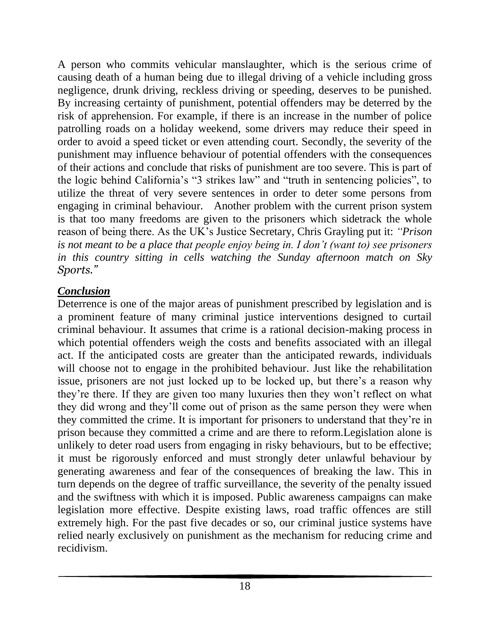A person who commits vehicular manslaughter, which is the serious crime of causing death of a human being due to illegal driving of a vehicle including gross negligence, drunk driving, reckless driving or speeding, deserves to be punished. By increasing certainty of punishment, potential offenders may be deterred by the risk of apprehension. For example, if there is an increase in the number of police patrolling roads on a holiday weekend, some drivers may reduce their speed in order to avoid a speed ticket or even attending court. Secondly, the severity of the punishment may influence behaviour of potential offenders with the consequences of their actions and conclude that risks of punishment are too severe. This is part of the logic behind California's "3 strikes law" and "truth in sentencing policies", to utilize the threat of very severe sentences in order to deter some persons from engaging in criminal behaviour. Another problem with the current prison system is that too many freedoms are given to the prisoners which sidetrack the whole reason of being there. As the UK's Justice Secretary, Chris Grayling put it: *"Prison is not meant to be a place that people enjoy being in. I don't (want to) see prisoners in this country sitting in cells watching the Sunday afternoon match on Sky Sports."* 

# *Conclusion*

Deterrence is one of the major areas of punishment prescribed by legislation and is a prominent feature of many criminal justice interventions designed to curtail criminal behaviour. It assumes that crime is a rational decision-making process in which potential offenders weigh the costs and benefits associated with an illegal act. If the anticipated costs are greater than the anticipated rewards, individuals will choose not to engage in the prohibited behaviour. Just like the rehabilitation issue, prisoners are not just locked up to be locked up, but there's a reason why they're there. If they are given too many luxuries then they won't reflect on what they did wrong and they'll come out of prison as the same person they were when they committed the crime. It is important for prisoners to understand that they're in prison because they committed a crime and are there to reform.Legislation alone is unlikely to deter road users from engaging in risky behaviours, but to be effective; it must be rigorously enforced and must strongly deter unlawful behaviour by generating awareness and fear of the consequences of breaking the law. This in turn depends on the degree of traffic surveillance, the severity of the penalty issued and the swiftness with which it is imposed. Public awareness campaigns can make legislation more effective. Despite existing laws, road traffic offences are still extremely high. For the past five decades or so, our criminal justice systems have relied nearly exclusively on punishment as the mechanism for reducing crime and recidivism.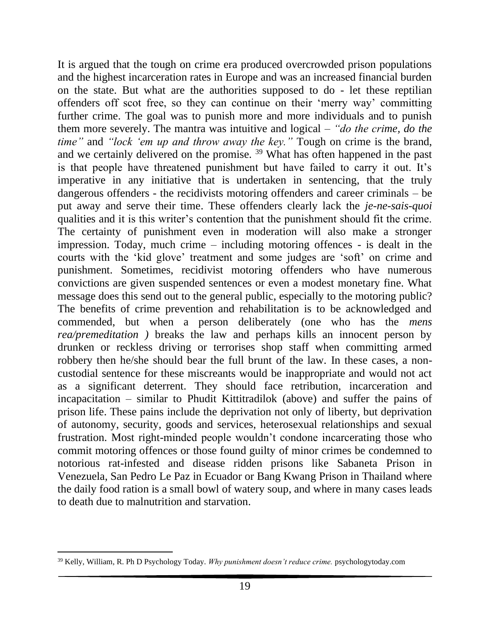It is argued that the tough on crime era produced overcrowded prison populations and the highest incarceration rates in Europe and was an increased financial burden on the state. But what are the authorities supposed to do - let these reptilian offenders off scot free, so they can continue on their 'merry way' committing further crime. The goal was to punish more and more individuals and to punish them more severely. The mantra was intuitive and logical – *"do the crime, do the time"* and *"lock 'em up and throw away the key."* Tough on crime is the brand, and we certainly delivered on the promise. <sup>39</sup> What has often happened in the past is that people have threatened punishment but have failed to carry it out. It's imperative in any initiative that is undertaken in sentencing, that the truly dangerous offenders - the recidivists motoring offenders and career criminals – be put away and serve their time. These offenders clearly lack the *je-ne-sais-quoi* qualities and it is this writer's contention that the punishment should fit the crime. The certainty of punishment even in moderation will also make a stronger impression. Today, much crime – including motoring offences - is dealt in the courts with the 'kid glove' treatment and some judges are 'soft' on crime and punishment. Sometimes, recidivist motoring offenders who have numerous convictions are given suspended sentences or even a modest monetary fine. What message does this send out to the general public, especially to the motoring public? The benefits of crime prevention and rehabilitation is to be acknowledged and commended, but when a person deliberately (one who has the *mens rea/premeditation )* breaks the law and perhaps kills an innocent person by drunken or reckless driving or terrorises shop staff when committing armed robbery then he/she should bear the full brunt of the law. In these cases, a noncustodial sentence for these miscreants would be inappropriate and would not act as a significant deterrent. They should face retribution, incarceration and incapacitation – similar to Phudit Kittitradilok (above) and suffer the pains of prison life. These pains include the deprivation not only of liberty, but deprivation of autonomy, security, goods and services, heterosexual relationships and sexual frustration. Most right-minded people wouldn't condone incarcerating those who commit motoring offences or those found guilty of minor crimes be condemned to notorious rat-infested and disease ridden prisons like Sabaneta Prison in Venezuela, San Pedro Le Paz in Ecuador or Bang Kwang Prison in Thailand where the daily food ration is a small bowl of watery soup, and where in many cases leads to death due to malnutrition and starvation.

<sup>39</sup> Kelly, William, R. Ph D Psychology Today. *Why punishment doesn't reduce crime.* psychologytoday.com